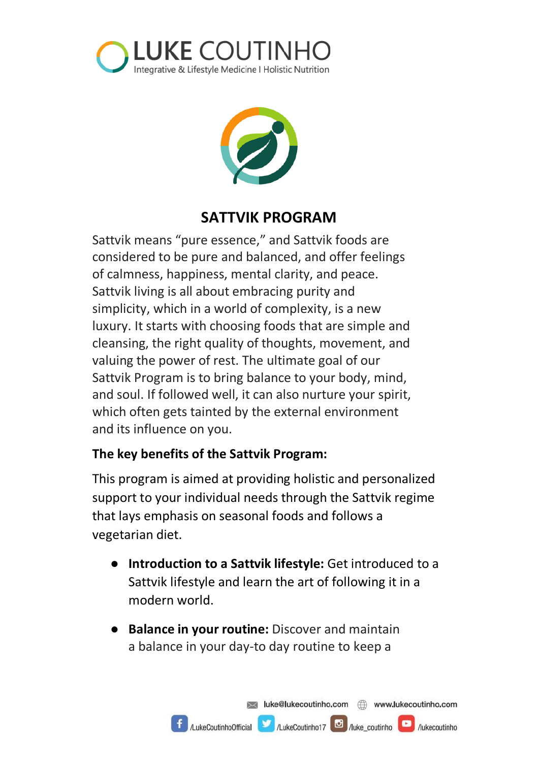



## **SATTVIK PROGRAM**

Sattvik means "pure essence," and Sattvik foods are considered to be pure and balanced, and offer feelings of calmness, happiness, mental clarity, and peace. Sattvik living is all about embracing purity and simplicity, which in a world of complexity, is a new luxury. It starts with choosing foods that are simple and cleansing, the right quality of thoughts, movement, and valuing the power of rest. The ultimate goal of our Sattvik Program is to bring balance to your body, mind, and soul. If followed well, it can also nurture your spirit, which often gets tainted by the external environment and its influence on you.

### **The key benefits of the Sattvik Program:**

This program is aimed at providing holistic and personalized support to your individual needs through the Sattvik regime that lays emphasis on seasonal foods and follows a vegetarian diet.

- **Introduction to a Sattvik lifestyle:** Get introduced to a Sattvik lifestyle and learn the art of following it in a modern world.
- **Balance in your routine:** Discover and maintain a balance in your day-to day routine to keep a

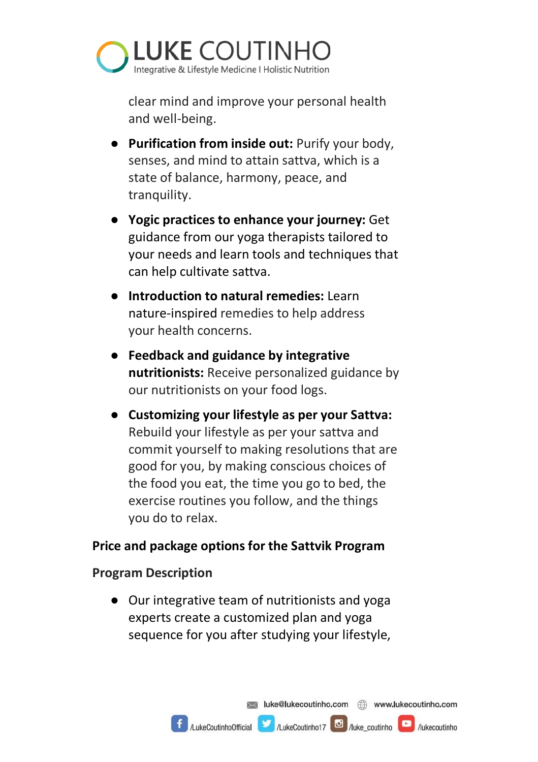

clear mind and improve your personal health and well-being.

- **Purification from inside out:** Purify your body, senses, and mind to attain sattva, which is a state of balance, harmony, peace, and tranquility.
- **Yogic practices to enhance your journey:** Get guidance from our yoga therapists tailored to your needs and learn tools and techniques that can help cultivate sattva.
- **Introduction to natural remedies:** Learn nature-inspired remedies to help address your health concerns.
- **Feedback and guidance by integrative nutritionists:** Receive personalized guidance by our nutritionists on your food logs.
- **Customizing your lifestyle as per your Sattva:**  Rebuild your lifestyle as per your sattva and commit yourself to making resolutions that are good for you, by making conscious choices of the food you eat, the time you go to bed, the exercise routines you follow, and the things you do to relax.

#### **Price and package options for the Sattvik Program**

#### **Program Description**

● Our integrative team of nutritionists and yoga experts create a customized plan and yoga sequence for you after studying your lifestyle,

AukeCoutinhoOfficial AukeCoutinho17 **C** Auke coutinho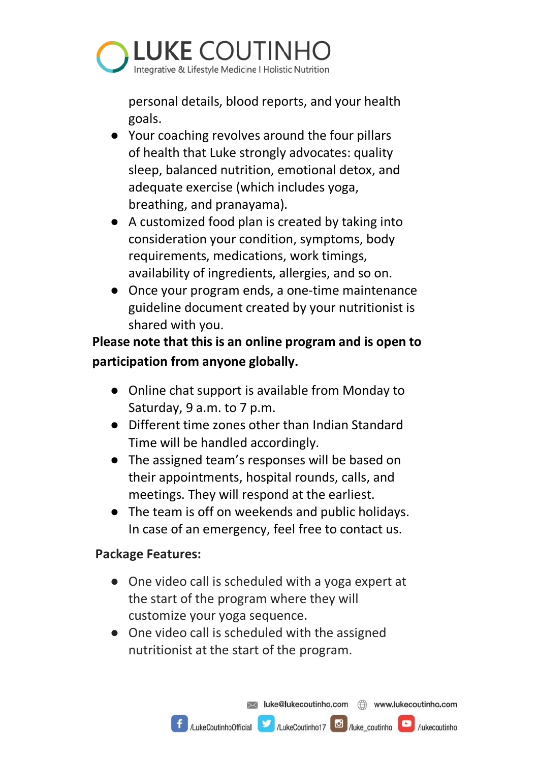

personal details, blood reports, and your health goals.

- Your coaching revolves around the four pillars of health that Luke strongly advocates: quality sleep, balanced nutrition, emotional detox, and adequate exercise (which includes yoga, breathing, and pranayama).
- A customized food plan is created by taking into consideration your condition, symptoms, body requirements, medications, work timings, availability of ingredients, allergies, and so on.
- Once your program ends, a one-time maintenance guideline document created by your nutritionist is shared with you.

**Please note that this is an online program and is open to participation from anyone globally.**

- Online chat support is available from Monday to Saturday, 9 a.m. to 7 p.m.
- Different time zones other than Indian Standard Time will be handled accordingly.
- The assigned team's responses will be based on their appointments, hospital rounds, calls, and meetings. They will respond at the earliest.
- The team is off on weekends and public holidays. In case of an emergency, feel free to contact us.

### **Package Features:**

- One video call is scheduled with a yoga expert at the start of the program where they will customize your yoga sequence.
- One video call is scheduled with the assigned nutritionist at the start of the program.

 $\left| \int_{\mathcal{A}} \mathcal{A} \right|$  /LukeCoutinho Official  $\left| \int_{\mathcal{A}} \mathcal{A} \right|$  /LukeCoutinho 17  $\left| \int_{\mathcal{A}} \mathcal{A} \right|$  /lukecoutinho  $\left| \int_{\mathcal{A}} \mathcal{A} \right|$  /lukecoutinho